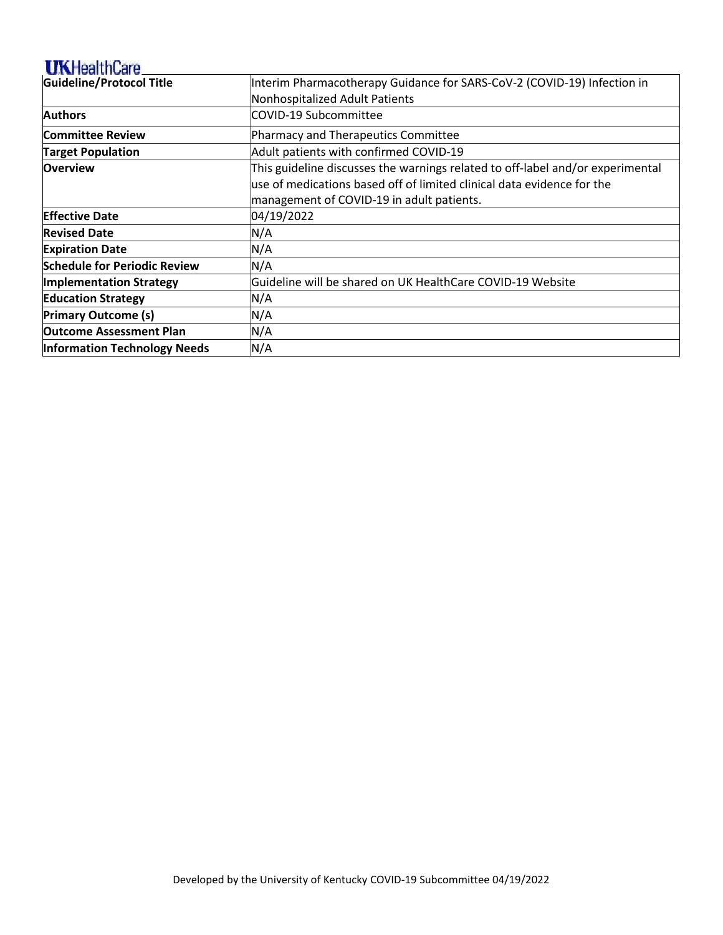## **UKHealthCare**

| <b>Guideline/Protocol Title</b>     | Interim Pharmacotherapy Guidance for SARS-CoV-2 (COVID-19) Infection in        |  |
|-------------------------------------|--------------------------------------------------------------------------------|--|
|                                     | Nonhospitalized Adult Patients                                                 |  |
| <b>Authors</b>                      | COVID-19 Subcommittee                                                          |  |
| <b>Committee Review</b>             | Pharmacy and Therapeutics Committee                                            |  |
| <b>Target Population</b>            | Adult patients with confirmed COVID-19                                         |  |
| <b>Overview</b>                     | This guideline discusses the warnings related to off-label and/or experimental |  |
|                                     | use of medications based off of limited clinical data evidence for the         |  |
|                                     | management of COVID-19 in adult patients.                                      |  |
| <b>Effective Date</b>               | 04/19/2022                                                                     |  |
| <b>Revised Date</b>                 | N/A                                                                            |  |
| <b>Expiration Date</b>              | N/A                                                                            |  |
| <b>Schedule for Periodic Review</b> | N/A                                                                            |  |
| <b>Implementation Strategy</b>      | Guideline will be shared on UK HealthCare COVID-19 Website                     |  |
| <b>Education Strategy</b>           | N/A                                                                            |  |
| <b>Primary Outcome (s)</b>          | N/A                                                                            |  |
| <b>Outcome Assessment Plan</b>      | N/A                                                                            |  |
| <b>Information Technology Needs</b> | N/A                                                                            |  |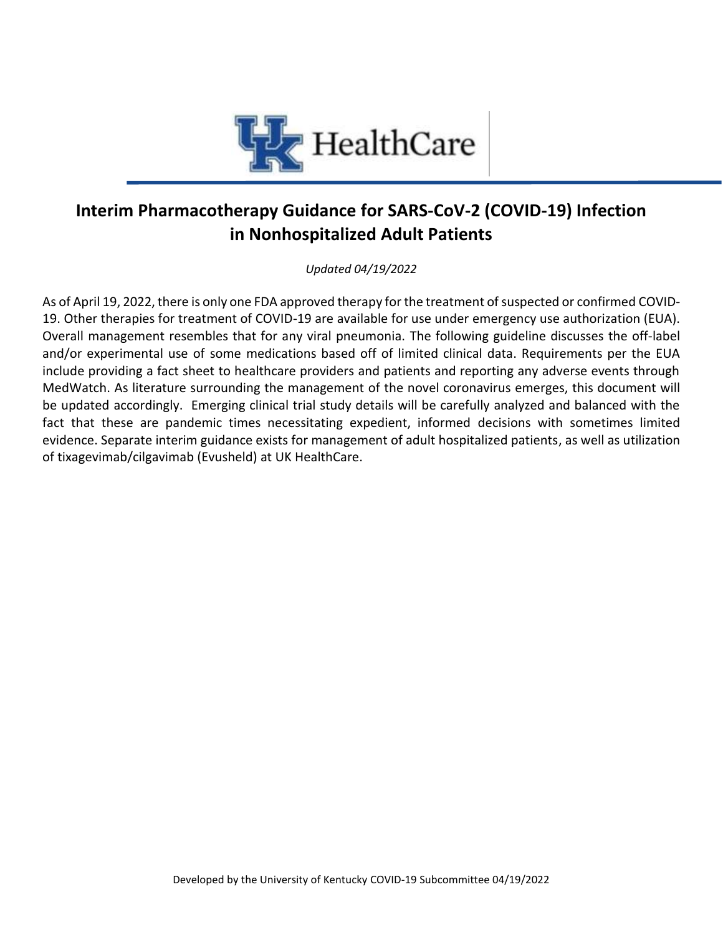

# **Interim Pharmacotherapy Guidance for SARS-CoV-2 (COVID-19) Infection in Nonhospitalized Adult Patients**

*Updated 04/19/2022*

As of April 19, 2022, there is only one FDA approved therapy for the treatment of suspected or confirmed COVID-19. Other therapies for treatment of COVID-19 are available for use under emergency use authorization (EUA). Overall management resembles that for any viral pneumonia. The following guideline discusses the off-label and/or experimental use of some medications based off of limited clinical data. Requirements per the EUA include providing a fact sheet to healthcare providers and patients and reporting any adverse events through MedWatch. As literature surrounding the management of the novel coronavirus emerges, this document will be updated accordingly. Emerging clinical trial study details will be carefully analyzed and balanced with the fact that these are pandemic times necessitating expedient, informed decisions with sometimes limited evidence. Separate interim guidance exists for management of adult hospitalized patients, as well as utilization of tixagevimab/cilgavimab (Evusheld) at UK HealthCare.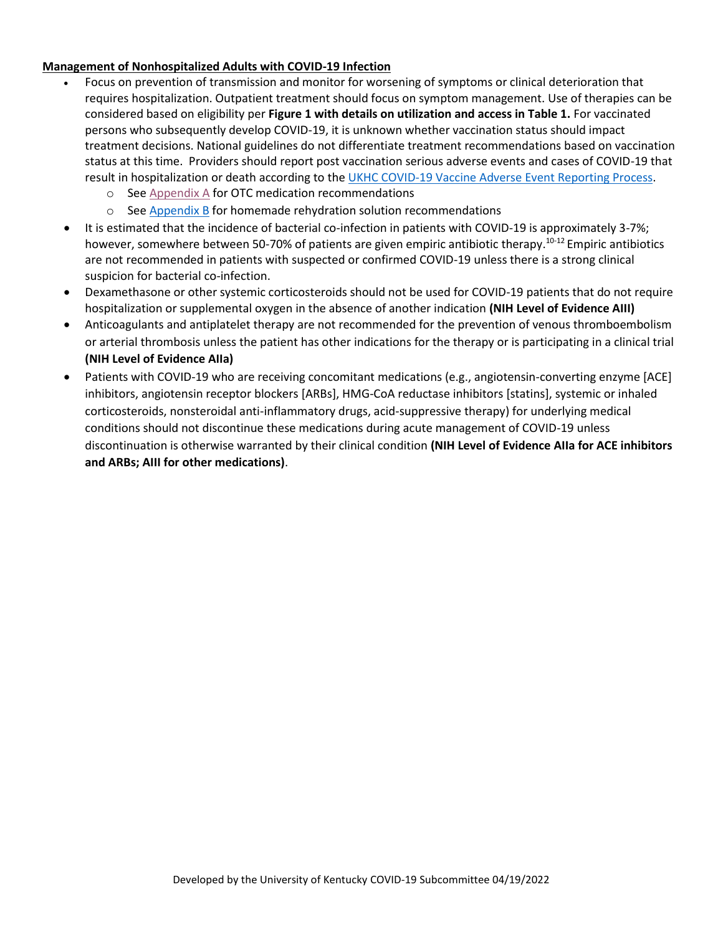#### **Management of Nonhospitalized Adults with COVID-19 Infection**

- Focus on prevention of transmission and monitor for worsening of symptoms or clinical deterioration that requires hospitalization. Outpatient treatment should focus on symptom management. Use of therapies can be considered based on eligibility per **Figure 1 with details on utilization and access in Table 1.** For vaccinated persons who subsequently develop COVID-19, it is unknown whether vaccination status should impact treatment decisions. National guidelines do not differentiate treatment recommendations based on vaccination status at this time. Providers should report post vaccination serious adverse events and cases of COVID-19 that result in hospitalization or death according to the [UKHC COVID-19 Vaccine Adverse Event Reporting Process.](https://covid-19.ukhc.org/wp-content/uploads/sites/121/2021/01/COVID-19-Vaccine-Adverse-Event-Reporting-Process.pdf)
	- o Se[e Appendix A](#page-9-0) for OTC medication recommendations
	- $\circ$  Se[e Appendix B](#page-11-0) for homemade rehydration solution recommendations
- It is estimated that the incidence of bacterial co-infection in patients with COVID-19 is approximately 3-7%; however, somewhere between 50-70% of patients are given empiric antibiotic therapy.<sup>10-12</sup> Empiric antibiotics are not recommended in patients with suspected or confirmed COVID-19 unless there is a strong clinical suspicion for bacterial co-infection.
- Dexamethasone or other systemic corticosteroids should not be used for COVID-19 patients that do not require hospitalization or supplemental oxygen in the absence of another indication **(NIH Level of Evidence AIII)**
- Anticoagulants and antiplatelet therapy are not recommended for the prevention of venous thromboembolism or arterial thrombosis unless the patient has other indications for the therapy or is participating in a clinical trial **(NIH Level of Evidence AIIa)**
- Patients with COVID-19 who are receiving concomitant medications (e.g., angiotensin-converting enzyme [ACE] inhibitors, angiotensin receptor blockers [ARBs], HMG-CoA reductase inhibitors [statins], systemic or inhaled corticosteroids, nonsteroidal anti-inflammatory drugs, acid-suppressive therapy) for underlying medical conditions should not discontinue these medications during acute management of COVID-19 unless discontinuation is otherwise warranted by their clinical condition **(NIH Level of Evidence AIIa for ACE inhibitors and ARBs; AIII for other medications)**.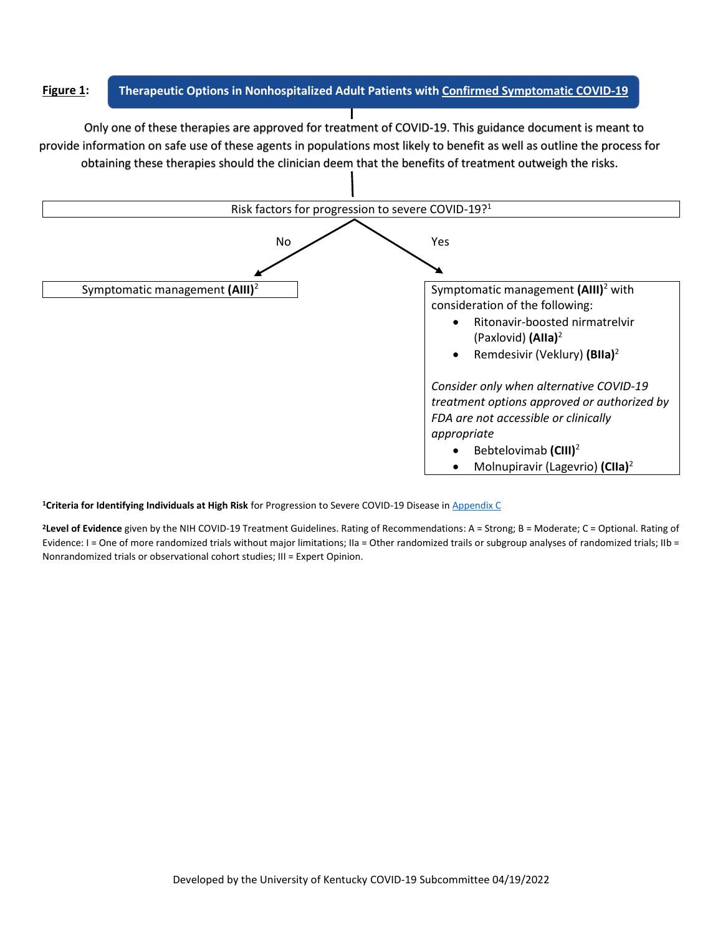#### **Figure 1: Therapeutic Options in Nonhospitalized Adult Patients with Confirmed Symptomatic COVID-19**

 Only one of these therapies are approved for treatment of COVID-19. This guidance document is meant to provide information on safe use of these agents in populations most likely to benefit as well as outline the process for obtaining these therapies should the clinician deem that the benefits of treatment outweigh the risks.



**<sup>1</sup>Criteria for Identifying Individuals at High Risk** for Progression to Severe COVID-19 Disease i[n Appendix C](#page-12-0)

**<sup>2</sup>Level of Evidence** given by the NIH COVID-19 Treatment Guidelines. Rating of Recommendations: A = Strong; B = Moderate; C = Optional. Rating of Evidence: I = One of more randomized trials without major limitations; IIa = Other randomized trails or subgroup analyses of randomized trials; IIb = Nonrandomized trials or observational cohort studies; III = Expert Opinion.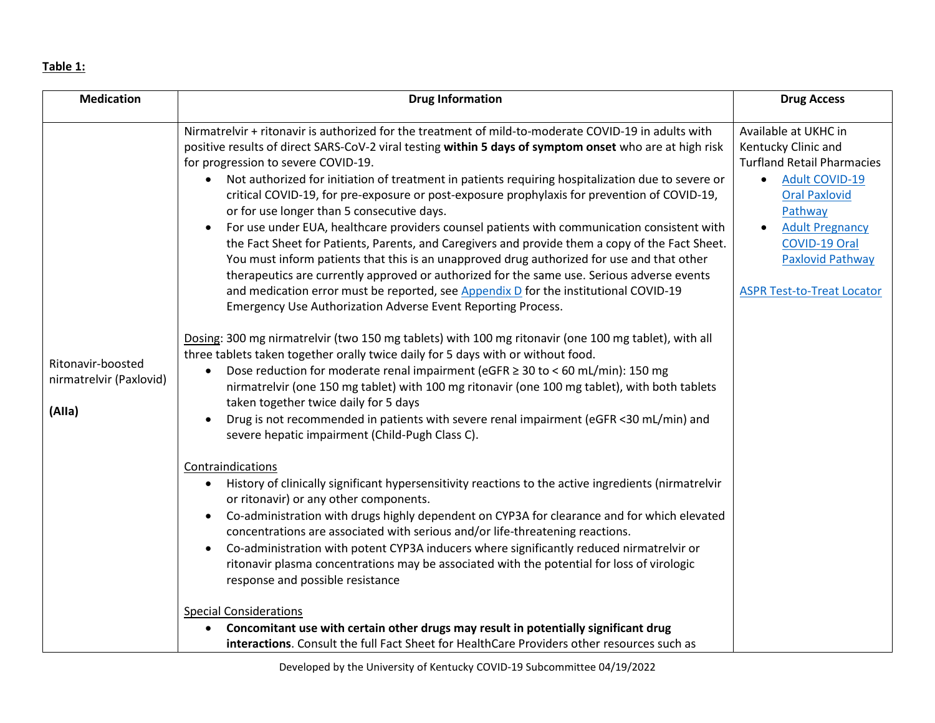**Table 1:** 

| <b>Medication</b>                                      | <b>Drug Information</b>                                                                                                                                                                                                                                                                                                                                                                                                                                                                                                                                                                                                                                                                                                                                                                                                                                                                                                                                                                                                                                                                                                                                                                                                                                                                                                                                                                                                                                                                                                                                                                                                                                                                                                                                                                                                                                                                                                                                                                                                                                                                                                                                                                                                                                                                                                                                                                                                                              | <b>Drug Access</b>                                                                                                                                                                                                                                            |
|--------------------------------------------------------|------------------------------------------------------------------------------------------------------------------------------------------------------------------------------------------------------------------------------------------------------------------------------------------------------------------------------------------------------------------------------------------------------------------------------------------------------------------------------------------------------------------------------------------------------------------------------------------------------------------------------------------------------------------------------------------------------------------------------------------------------------------------------------------------------------------------------------------------------------------------------------------------------------------------------------------------------------------------------------------------------------------------------------------------------------------------------------------------------------------------------------------------------------------------------------------------------------------------------------------------------------------------------------------------------------------------------------------------------------------------------------------------------------------------------------------------------------------------------------------------------------------------------------------------------------------------------------------------------------------------------------------------------------------------------------------------------------------------------------------------------------------------------------------------------------------------------------------------------------------------------------------------------------------------------------------------------------------------------------------------------------------------------------------------------------------------------------------------------------------------------------------------------------------------------------------------------------------------------------------------------------------------------------------------------------------------------------------------------------------------------------------------------------------------------------------------------|---------------------------------------------------------------------------------------------------------------------------------------------------------------------------------------------------------------------------------------------------------------|
| Ritonavir-boosted<br>nirmatrelvir (Paxlovid)<br>(Alla) | Nirmatrelvir + ritonavir is authorized for the treatment of mild-to-moderate COVID-19 in adults with<br>positive results of direct SARS-CoV-2 viral testing within 5 days of symptom onset who are at high risk<br>for progression to severe COVID-19.<br>Not authorized for initiation of treatment in patients requiring hospitalization due to severe or<br>$\bullet$<br>critical COVID-19, for pre-exposure or post-exposure prophylaxis for prevention of COVID-19,<br>or for use longer than 5 consecutive days.<br>For use under EUA, healthcare providers counsel patients with communication consistent with<br>$\bullet$<br>the Fact Sheet for Patients, Parents, and Caregivers and provide them a copy of the Fact Sheet.<br>You must inform patients that this is an unapproved drug authorized for use and that other<br>therapeutics are currently approved or authorized for the same use. Serious adverse events<br>and medication error must be reported, see Appendix $D$ for the institutional COVID-19<br>Emergency Use Authorization Adverse Event Reporting Process.<br>Dosing: 300 mg nirmatrelvir (two 150 mg tablets) with 100 mg ritonavir (one 100 mg tablet), with all<br>three tablets taken together orally twice daily for 5 days with or without food.<br>Dose reduction for moderate renal impairment (eGFR $\geq$ 30 to < 60 mL/min): 150 mg<br>$\bullet$<br>nirmatrelvir (one 150 mg tablet) with 100 mg ritonavir (one 100 mg tablet), with both tablets<br>taken together twice daily for 5 days<br>Drug is not recommended in patients with severe renal impairment (eGFR <30 mL/min) and<br>severe hepatic impairment (Child-Pugh Class C).<br>Contraindications<br>History of clinically significant hypersensitivity reactions to the active ingredients (nirmatrelvir<br>$\bullet$<br>or ritonavir) or any other components.<br>Co-administration with drugs highly dependent on CYP3A for clearance and for which elevated<br>$\bullet$<br>concentrations are associated with serious and/or life-threatening reactions.<br>Co-administration with potent CYP3A inducers where significantly reduced nirmatrelvir or<br>$\bullet$<br>ritonavir plasma concentrations may be associated with the potential for loss of virologic<br>response and possible resistance<br><b>Special Considerations</b><br>Concomitant use with certain other drugs may result in potentially significant drug<br>$\bullet$ | Available at UKHC in<br>Kentucky Clinic and<br><b>Turfland Retail Pharmacies</b><br><b>Adult COVID-19</b><br>$\bullet$<br><b>Oral Paxlovid</b><br>Pathway<br><b>Adult Pregnancy</b><br>COVID-19 Oral<br>Paxlovid Pathway<br><b>ASPR Test-to-Treat Locator</b> |
|                                                        | interactions. Consult the full Fact Sheet for HealthCare Providers other resources such as                                                                                                                                                                                                                                                                                                                                                                                                                                                                                                                                                                                                                                                                                                                                                                                                                                                                                                                                                                                                                                                                                                                                                                                                                                                                                                                                                                                                                                                                                                                                                                                                                                                                                                                                                                                                                                                                                                                                                                                                                                                                                                                                                                                                                                                                                                                                                           |                                                                                                                                                                                                                                                               |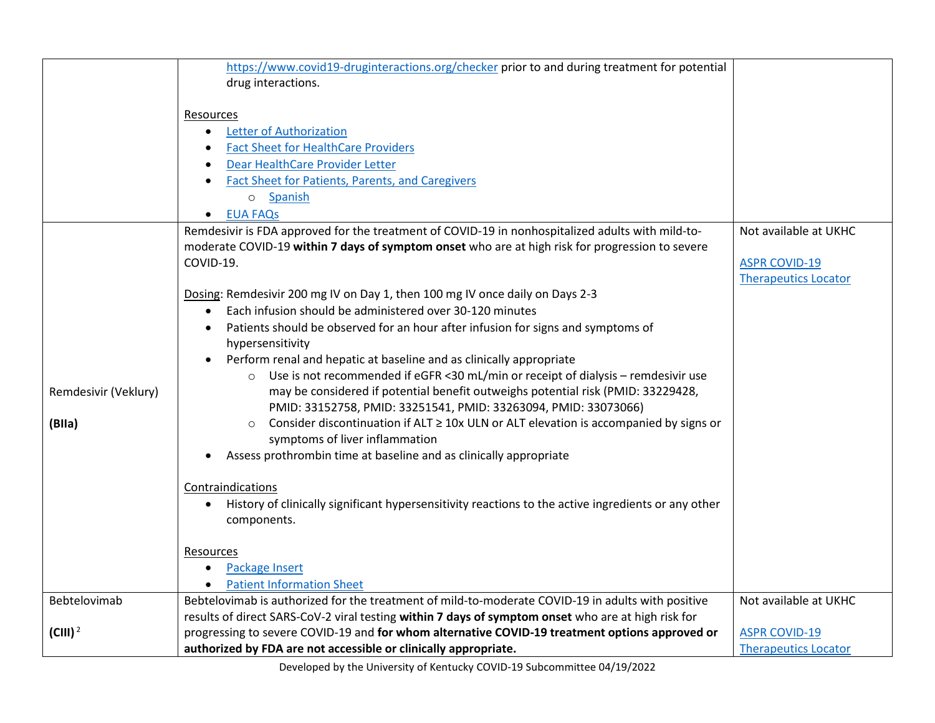|                      | https://www.covid19-druginteractions.org/checker prior to and during treatment for potential                                                             |                             |
|----------------------|----------------------------------------------------------------------------------------------------------------------------------------------------------|-----------------------------|
|                      | drug interactions.                                                                                                                                       |                             |
|                      |                                                                                                                                                          |                             |
|                      | Resources<br><b>Letter of Authorization</b><br>$\bullet$                                                                                                 |                             |
|                      | <b>Fact Sheet for HealthCare Providers</b>                                                                                                               |                             |
|                      | Dear HealthCare Provider Letter                                                                                                                          |                             |
|                      | <b>Fact Sheet for Patients, Parents, and Caregivers</b>                                                                                                  |                             |
|                      | Spanish<br>$\circ$                                                                                                                                       |                             |
|                      | <b>EUA FAQS</b>                                                                                                                                          |                             |
|                      | Remdesivir is FDA approved for the treatment of COVID-19 in nonhospitalized adults with mild-to-                                                         | Not available at UKHC       |
|                      | moderate COVID-19 within 7 days of symptom onset who are at high risk for progression to severe                                                          |                             |
|                      | COVID-19.                                                                                                                                                | <b>ASPR COVID-19</b>        |
|                      |                                                                                                                                                          | <b>Therapeutics Locator</b> |
|                      | Dosing: Remdesivir 200 mg IV on Day 1, then 100 mg IV once daily on Days 2-3                                                                             |                             |
|                      | Each infusion should be administered over 30-120 minutes<br>$\bullet$                                                                                    |                             |
|                      | Patients should be observed for an hour after infusion for signs and symptoms of<br>$\bullet$                                                            |                             |
|                      | hypersensitivity                                                                                                                                         |                             |
|                      | Perform renal and hepatic at baseline and as clinically appropriate<br>Use is not recommended if eGFR <30 mL/min or receipt of dialysis - remdesivir use |                             |
| Remdesivir (Veklury) | may be considered if potential benefit outweighs potential risk (PMID: 33229428,                                                                         |                             |
|                      | PMID: 33152758, PMID: 33251541, PMID: 33263094, PMID: 33073066)                                                                                          |                             |
| (BIIa)               | Consider discontinuation if $ALT \geq 10x$ ULN or ALT elevation is accompanied by signs or                                                               |                             |
|                      | symptoms of liver inflammation                                                                                                                           |                             |
|                      | Assess prothrombin time at baseline and as clinically appropriate                                                                                        |                             |
|                      |                                                                                                                                                          |                             |
|                      | Contraindications                                                                                                                                        |                             |
|                      | History of clinically significant hypersensitivity reactions to the active ingredients or any other<br>$\bullet$                                         |                             |
|                      | components.                                                                                                                                              |                             |
|                      |                                                                                                                                                          |                             |
|                      | Resources<br>Package Insert<br>$\bullet$                                                                                                                 |                             |
|                      | <b>Patient Information Sheet</b>                                                                                                                         |                             |
| Bebtelovimab         | Bebtelovimab is authorized for the treatment of mild-to-moderate COVID-19 in adults with positive                                                        | Not available at UKHC       |
|                      | results of direct SARS-CoV-2 viral testing within 7 days of symptom onset who are at high risk for                                                       |                             |
| $(CIII)^2$           | progressing to severe COVID-19 and for whom alternative COVID-19 treatment options approved or                                                           | <b>ASPR COVID-19</b>        |
|                      | authorized by FDA are not accessible or clinically appropriate.                                                                                          | <b>Therapeutics Locator</b> |

Developed by the University of Kentucky COVID-19 Subcommittee 04/19/2022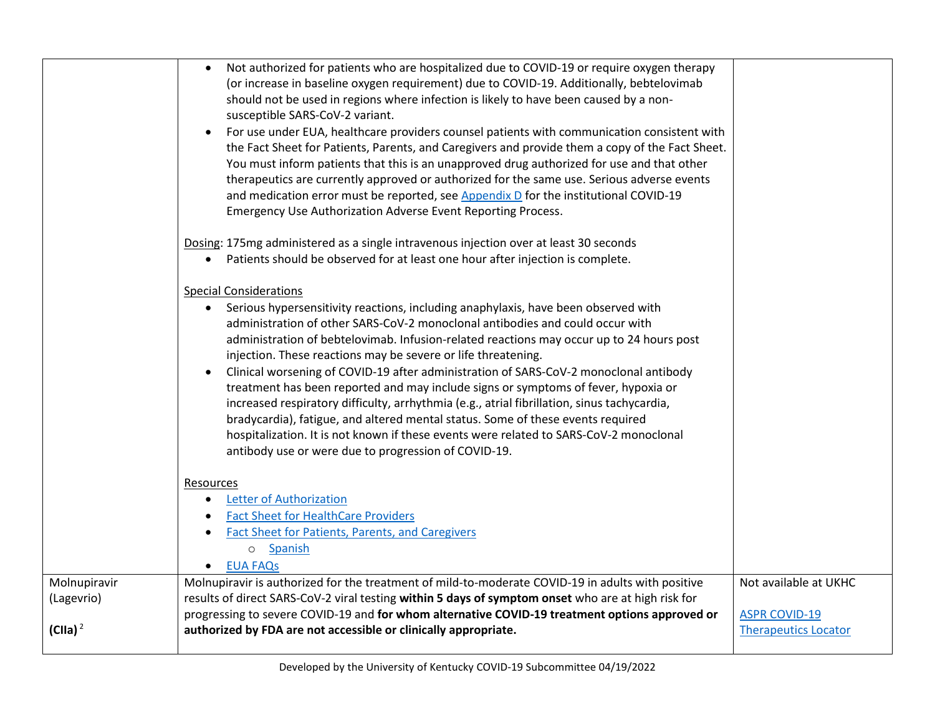|                                          | Not authorized for patients who are hospitalized due to COVID-19 or require oxygen therapy<br>$\bullet$<br>(or increase in baseline oxygen requirement) due to COVID-19. Additionally, bebtelovimab<br>should not be used in regions where infection is likely to have been caused by a non-<br>susceptible SARS-CoV-2 variant.<br>For use under EUA, healthcare providers counsel patients with communication consistent with<br>$\bullet$<br>the Fact Sheet for Patients, Parents, and Caregivers and provide them a copy of the Fact Sheet.<br>You must inform patients that this is an unapproved drug authorized for use and that other<br>therapeutics are currently approved or authorized for the same use. Serious adverse events<br>and medication error must be reported, see Appendix D for the institutional COVID-19<br>Emergency Use Authorization Adverse Event Reporting Process.             |                                                                              |
|------------------------------------------|----------------------------------------------------------------------------------------------------------------------------------------------------------------------------------------------------------------------------------------------------------------------------------------------------------------------------------------------------------------------------------------------------------------------------------------------------------------------------------------------------------------------------------------------------------------------------------------------------------------------------------------------------------------------------------------------------------------------------------------------------------------------------------------------------------------------------------------------------------------------------------------------------------------|------------------------------------------------------------------------------|
|                                          | Dosing: 175mg administered as a single intravenous injection over at least 30 seconds<br>Patients should be observed for at least one hour after injection is complete.<br>$\bullet$                                                                                                                                                                                                                                                                                                                                                                                                                                                                                                                                                                                                                                                                                                                           |                                                                              |
|                                          | <b>Special Considerations</b><br>Serious hypersensitivity reactions, including anaphylaxis, have been observed with<br>$\bullet$<br>administration of other SARS-CoV-2 monoclonal antibodies and could occur with<br>administration of bebtelovimab. Infusion-related reactions may occur up to 24 hours post<br>injection. These reactions may be severe or life threatening.<br>Clinical worsening of COVID-19 after administration of SARS-CoV-2 monoclonal antibody<br>$\bullet$<br>treatment has been reported and may include signs or symptoms of fever, hypoxia or<br>increased respiratory difficulty, arrhythmia (e.g., atrial fibrillation, sinus tachycardia,<br>bradycardia), fatigue, and altered mental status. Some of these events required<br>hospitalization. It is not known if these events were related to SARS-CoV-2 monoclonal<br>antibody use or were due to progression of COVID-19. |                                                                              |
|                                          | Resources<br><b>Letter of Authorization</b><br>$\bullet$<br><b>Fact Sheet for HealthCare Providers</b><br><b>Fact Sheet for Patients, Parents, and Caregivers</b><br><b>Spanish</b><br>$\circ$<br><b>EUA FAQS</b><br>$\bullet$                                                                                                                                                                                                                                                                                                                                                                                                                                                                                                                                                                                                                                                                                 |                                                                              |
| Molnupiravir<br>(Lagevrio)<br>$(CIIa)^2$ | Molnupiravir is authorized for the treatment of mild-to-moderate COVID-19 in adults with positive<br>results of direct SARS-CoV-2 viral testing within 5 days of symptom onset who are at high risk for<br>progressing to severe COVID-19 and for whom alternative COVID-19 treatment options approved or<br>authorized by FDA are not accessible or clinically appropriate.                                                                                                                                                                                                                                                                                                                                                                                                                                                                                                                                   | Not available at UKHC<br><b>ASPR COVID-19</b><br><b>Therapeutics Locator</b> |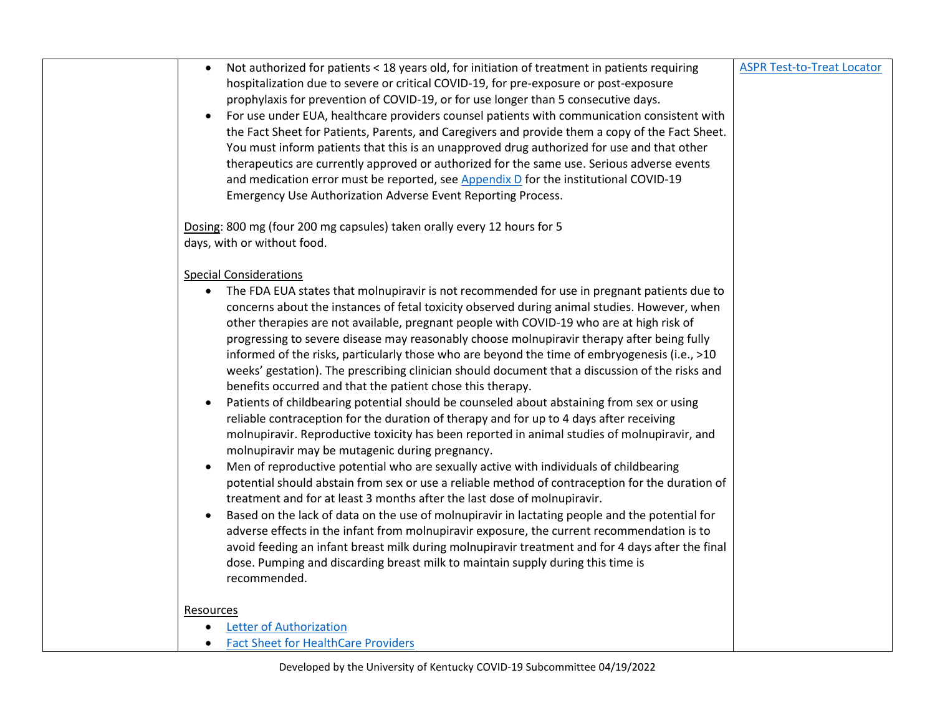| Not authorized for patients < 18 years old, for initiation of treatment in patients requiring<br>$\bullet$<br>hospitalization due to severe or critical COVID-19, for pre-exposure or post-exposure<br>prophylaxis for prevention of COVID-19, or for use longer than 5 consecutive days.<br>For use under EUA, healthcare providers counsel patients with communication consistent with<br>$\bullet$<br>the Fact Sheet for Patients, Parents, and Caregivers and provide them a copy of the Fact Sheet.<br>You must inform patients that this is an unapproved drug authorized for use and that other<br>therapeutics are currently approved or authorized for the same use. Serious adverse events<br>and medication error must be reported, see Appendix D for the institutional COVID-19<br>Emergency Use Authorization Adverse Event Reporting Process.                                                                                                                                                                                                                                                                                                                                                                                                                                                                                                                                                                                                                                                                                                                                                                                                                                                                               | <b>ASPR Test-to-Treat Locator</b> |
|--------------------------------------------------------------------------------------------------------------------------------------------------------------------------------------------------------------------------------------------------------------------------------------------------------------------------------------------------------------------------------------------------------------------------------------------------------------------------------------------------------------------------------------------------------------------------------------------------------------------------------------------------------------------------------------------------------------------------------------------------------------------------------------------------------------------------------------------------------------------------------------------------------------------------------------------------------------------------------------------------------------------------------------------------------------------------------------------------------------------------------------------------------------------------------------------------------------------------------------------------------------------------------------------------------------------------------------------------------------------------------------------------------------------------------------------------------------------------------------------------------------------------------------------------------------------------------------------------------------------------------------------------------------------------------------------------------------------------------------------|-----------------------------------|
| Dosing: 800 mg (four 200 mg capsules) taken orally every 12 hours for 5                                                                                                                                                                                                                                                                                                                                                                                                                                                                                                                                                                                                                                                                                                                                                                                                                                                                                                                                                                                                                                                                                                                                                                                                                                                                                                                                                                                                                                                                                                                                                                                                                                                                    |                                   |
| days, with or without food.                                                                                                                                                                                                                                                                                                                                                                                                                                                                                                                                                                                                                                                                                                                                                                                                                                                                                                                                                                                                                                                                                                                                                                                                                                                                                                                                                                                                                                                                                                                                                                                                                                                                                                                |                                   |
| <b>Special Considerations</b><br>The FDA EUA states that molnupiravir is not recommended for use in pregnant patients due to<br>$\bullet$<br>concerns about the instances of fetal toxicity observed during animal studies. However, when<br>other therapies are not available, pregnant people with COVID-19 who are at high risk of<br>progressing to severe disease may reasonably choose molnupiravir therapy after being fully<br>informed of the risks, particularly those who are beyond the time of embryogenesis (i.e., >10<br>weeks' gestation). The prescribing clinician should document that a discussion of the risks and<br>benefits occurred and that the patient chose this therapy.<br>Patients of childbearing potential should be counseled about abstaining from sex or using<br>$\bullet$<br>reliable contraception for the duration of therapy and for up to 4 days after receiving<br>molnupiravir. Reproductive toxicity has been reported in animal studies of molnupiravir, and<br>molnupiravir may be mutagenic during pregnancy.<br>Men of reproductive potential who are sexually active with individuals of childbearing<br>$\bullet$<br>potential should abstain from sex or use a reliable method of contraception for the duration of<br>treatment and for at least 3 months after the last dose of molnupiravir.<br>Based on the lack of data on the use of molnupiravir in lactating people and the potential for<br>adverse effects in the infant from molnupiravir exposure, the current recommendation is to<br>avoid feeding an infant breast milk during molnupiravir treatment and for 4 days after the final<br>dose. Pumping and discarding breast milk to maintain supply during this time is |                                   |
|                                                                                                                                                                                                                                                                                                                                                                                                                                                                                                                                                                                                                                                                                                                                                                                                                                                                                                                                                                                                                                                                                                                                                                                                                                                                                                                                                                                                                                                                                                                                                                                                                                                                                                                                            |                                   |
| Resources                                                                                                                                                                                                                                                                                                                                                                                                                                                                                                                                                                                                                                                                                                                                                                                                                                                                                                                                                                                                                                                                                                                                                                                                                                                                                                                                                                                                                                                                                                                                                                                                                                                                                                                                  |                                   |
| Letter of Authorization                                                                                                                                                                                                                                                                                                                                                                                                                                                                                                                                                                                                                                                                                                                                                                                                                                                                                                                                                                                                                                                                                                                                                                                                                                                                                                                                                                                                                                                                                                                                                                                                                                                                                                                    |                                   |
| <b>Fact Sheet for HealthCare Providers</b><br>$\bullet$                                                                                                                                                                                                                                                                                                                                                                                                                                                                                                                                                                                                                                                                                                                                                                                                                                                                                                                                                                                                                                                                                                                                                                                                                                                                                                                                                                                                                                                                                                                                                                                                                                                                                    |                                   |
|                                                                                                                                                                                                                                                                                                                                                                                                                                                                                                                                                                                                                                                                                                                                                                                                                                                                                                                                                                                                                                                                                                                                                                                                                                                                                                                                                                                                                                                                                                                                                                                                                                                                                                                                            |                                   |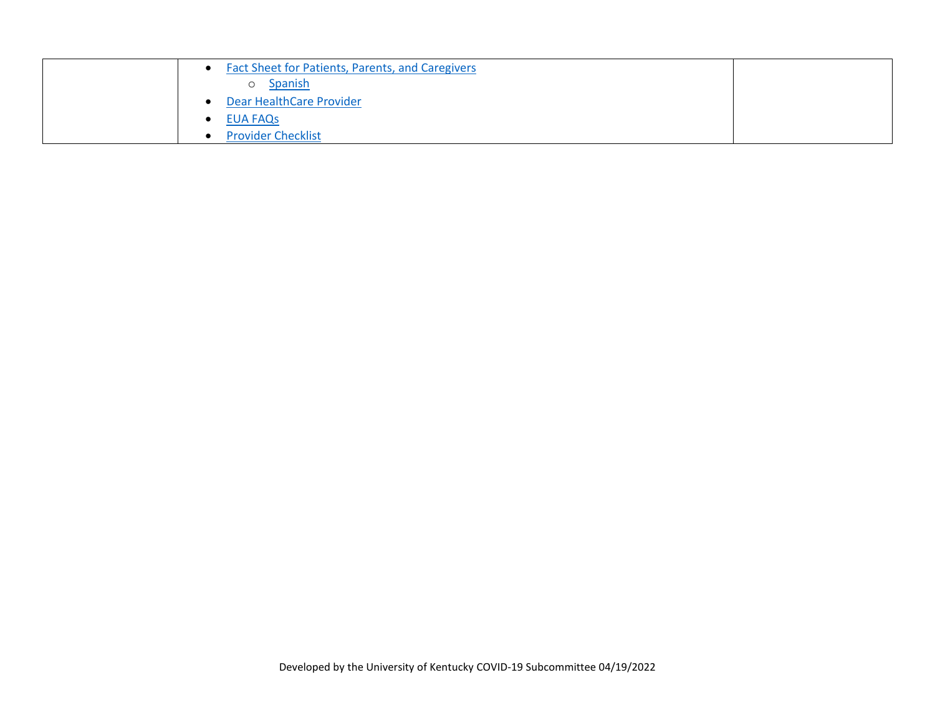| Fact Sheet for Patients, Parents, and Caregivers |  |
|--------------------------------------------------|--|
| <b>Spanish</b><br>$\circ$                        |  |
| Dear HealthCare Provider                         |  |
| <b>EUA FAQS</b>                                  |  |
| <b>Provider Checklist</b>                        |  |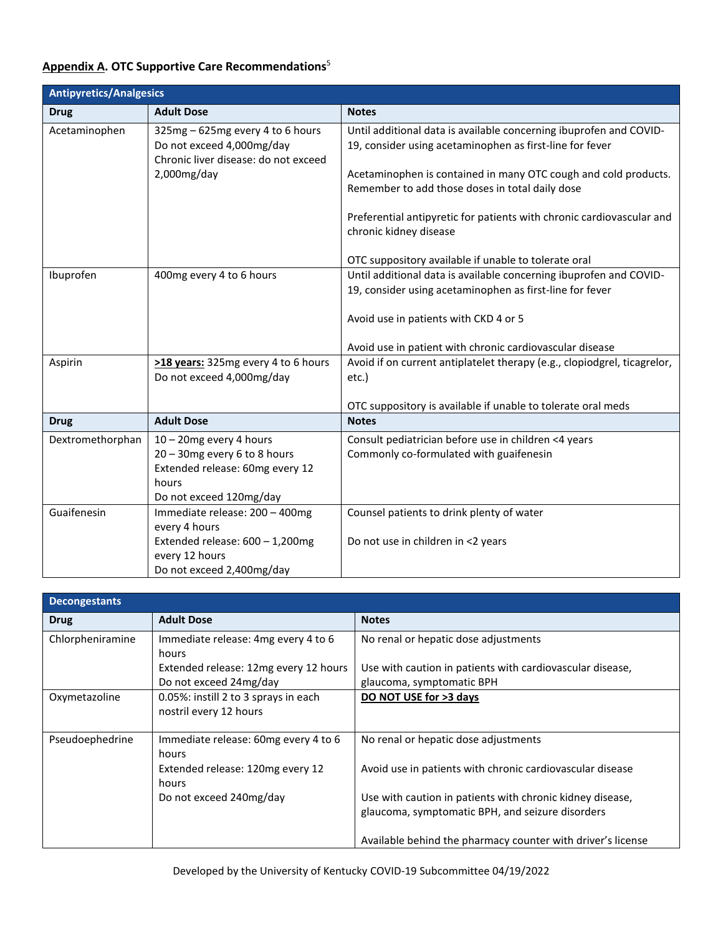### <span id="page-9-0"></span>**Appendix A. OTC Supportive Care Recommendations**<sup>5</sup>

|                  | <b>Antipyretics/Analgesics</b>                                                                                          |                                                                                                                                                                                                   |  |  |
|------------------|-------------------------------------------------------------------------------------------------------------------------|---------------------------------------------------------------------------------------------------------------------------------------------------------------------------------------------------|--|--|
| <b>Drug</b>      | <b>Adult Dose</b>                                                                                                       | <b>Notes</b>                                                                                                                                                                                      |  |  |
| Acetaminophen    | 325mg - 625mg every 4 to 6 hours<br>Do not exceed 4,000mg/day<br>Chronic liver disease: do not exceed<br>$2,000$ mg/day | Until additional data is available concerning ibuprofen and COVID-<br>19, consider using acetaminophen as first-line for fever<br>Acetaminophen is contained in many OTC cough and cold products. |  |  |
|                  |                                                                                                                         | Remember to add those doses in total daily dose                                                                                                                                                   |  |  |
|                  |                                                                                                                         | Preferential antipyretic for patients with chronic cardiovascular and<br>chronic kidney disease                                                                                                   |  |  |
|                  |                                                                                                                         | OTC suppository available if unable to tolerate oral                                                                                                                                              |  |  |
| Ibuprofen        | 400mg every 4 to 6 hours                                                                                                | Until additional data is available concerning ibuprofen and COVID-<br>19, consider using acetaminophen as first-line for fever                                                                    |  |  |
|                  |                                                                                                                         | Avoid use in patients with CKD 4 or 5                                                                                                                                                             |  |  |
|                  |                                                                                                                         | Avoid use in patient with chronic cardiovascular disease                                                                                                                                          |  |  |
| Aspirin          | >18 years: 325mg every 4 to 6 hours<br>Do not exceed 4,000mg/day                                                        | Avoid if on current antiplatelet therapy (e.g., clopiodgrel, ticagrelor,<br>etc.)                                                                                                                 |  |  |
|                  |                                                                                                                         | OTC suppository is available if unable to tolerate oral meds                                                                                                                                      |  |  |
| <b>Drug</b>      | <b>Adult Dose</b>                                                                                                       | <b>Notes</b>                                                                                                                                                                                      |  |  |
| Dextromethorphan | $10 - 20$ mg every 4 hours                                                                                              | Consult pediatrician before use in children <4 years                                                                                                                                              |  |  |
|                  | 20 - 30mg every 6 to 8 hours                                                                                            | Commonly co-formulated with guaifenesin                                                                                                                                                           |  |  |
|                  | Extended release: 60mg every 12<br>hours                                                                                |                                                                                                                                                                                                   |  |  |
|                  | Do not exceed 120mg/day                                                                                                 |                                                                                                                                                                                                   |  |  |
| Guaifenesin      | Immediate release: 200 - 400mg                                                                                          | Counsel patients to drink plenty of water                                                                                                                                                         |  |  |
|                  | every 4 hours                                                                                                           |                                                                                                                                                                                                   |  |  |
|                  | Extended release: $600 - 1,200$ mg                                                                                      | Do not use in children in <2 years                                                                                                                                                                |  |  |
|                  | every 12 hours                                                                                                          |                                                                                                                                                                                                   |  |  |
|                  | Do not exceed 2,400mg/day                                                                                               |                                                                                                                                                                                                   |  |  |

| <b>Decongestants</b> |                                                                                          |                                                                                                               |
|----------------------|------------------------------------------------------------------------------------------|---------------------------------------------------------------------------------------------------------------|
| <b>Drug</b>          | <b>Adult Dose</b>                                                                        | <b>Notes</b>                                                                                                  |
| Chlorpheniramine     | Immediate release: 4mg every 4 to 6<br>hours<br>Extended release: 12mg every 12 hours    | No renal or hepatic dose adjustments<br>Use with caution in patients with cardiovascular disease,             |
| Oxymetazoline        | Do not exceed 24mg/day<br>0.05%: instill 2 to 3 sprays in each<br>nostril every 12 hours | glaucoma, symptomatic BPH<br>DO NOT USE for >3 days                                                           |
| Pseudoephedrine      | Immediate release: 60mg every 4 to 6<br>hours                                            | No renal or hepatic dose adjustments                                                                          |
|                      | Extended release: 120mg every 12<br>hours                                                | Avoid use in patients with chronic cardiovascular disease                                                     |
|                      | Do not exceed 240mg/day                                                                  | Use with caution in patients with chronic kidney disease,<br>glaucoma, symptomatic BPH, and seizure disorders |
|                      |                                                                                          | Available behind the pharmacy counter with driver's license                                                   |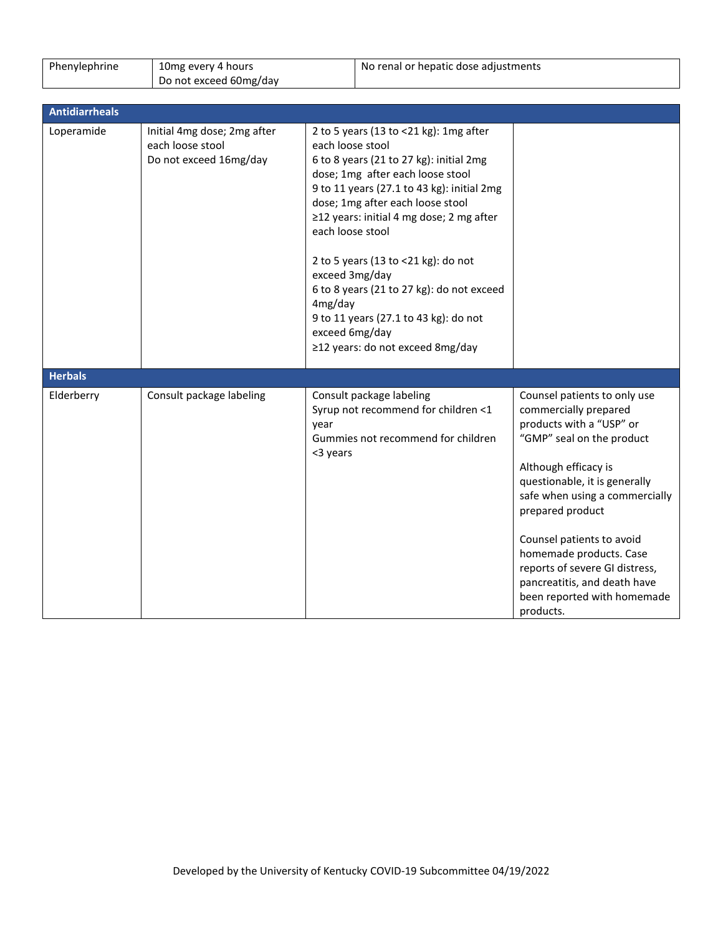| Phenylephrine         | 10mg every 4 hours<br>Do not exceed 60mg/day                              | No renal or hepatic dose adjustments                                                                                                                                                                                                                                                                                                                                                                                                                                                                        |                                                                                                                                                                                                                                                                                                                                                                                                     |
|-----------------------|---------------------------------------------------------------------------|-------------------------------------------------------------------------------------------------------------------------------------------------------------------------------------------------------------------------------------------------------------------------------------------------------------------------------------------------------------------------------------------------------------------------------------------------------------------------------------------------------------|-----------------------------------------------------------------------------------------------------------------------------------------------------------------------------------------------------------------------------------------------------------------------------------------------------------------------------------------------------------------------------------------------------|
|                       |                                                                           |                                                                                                                                                                                                                                                                                                                                                                                                                                                                                                             |                                                                                                                                                                                                                                                                                                                                                                                                     |
| <b>Antidiarrheals</b> |                                                                           |                                                                                                                                                                                                                                                                                                                                                                                                                                                                                                             |                                                                                                                                                                                                                                                                                                                                                                                                     |
| Loperamide            | Initial 4mg dose; 2mg after<br>each loose stool<br>Do not exceed 16mg/day | 2 to 5 years (13 to <21 kg): 1mg after<br>each loose stool<br>6 to 8 years (21 to 27 kg): initial 2mg<br>dose; 1mg after each loose stool<br>9 to 11 years (27.1 to 43 kg): initial 2mg<br>dose; 1mg after each loose stool<br>≥12 years: initial 4 mg dose; 2 mg after<br>each loose stool<br>2 to 5 years (13 to <21 kg): do not<br>exceed 3mg/day<br>6 to 8 years (21 to 27 kg): do not exceed<br>4mg/day<br>9 to 11 years (27.1 to 43 kg): do not<br>exceed 6mg/day<br>≥12 years: do not exceed 8mg/day |                                                                                                                                                                                                                                                                                                                                                                                                     |
| <b>Herbals</b>        |                                                                           |                                                                                                                                                                                                                                                                                                                                                                                                                                                                                                             |                                                                                                                                                                                                                                                                                                                                                                                                     |
| Elderberry            | Consult package labeling                                                  | Consult package labeling<br>Syrup not recommend for children <1<br>year<br>Gummies not recommend for children<br><3 years                                                                                                                                                                                                                                                                                                                                                                                   | Counsel patients to only use<br>commercially prepared<br>products with a "USP" or<br>"GMP" seal on the product<br>Although efficacy is<br>questionable, it is generally<br>safe when using a commercially<br>prepared product<br>Counsel patients to avoid<br>homemade products. Case<br>reports of severe GI distress,<br>pancreatitis, and death have<br>been reported with homemade<br>products. |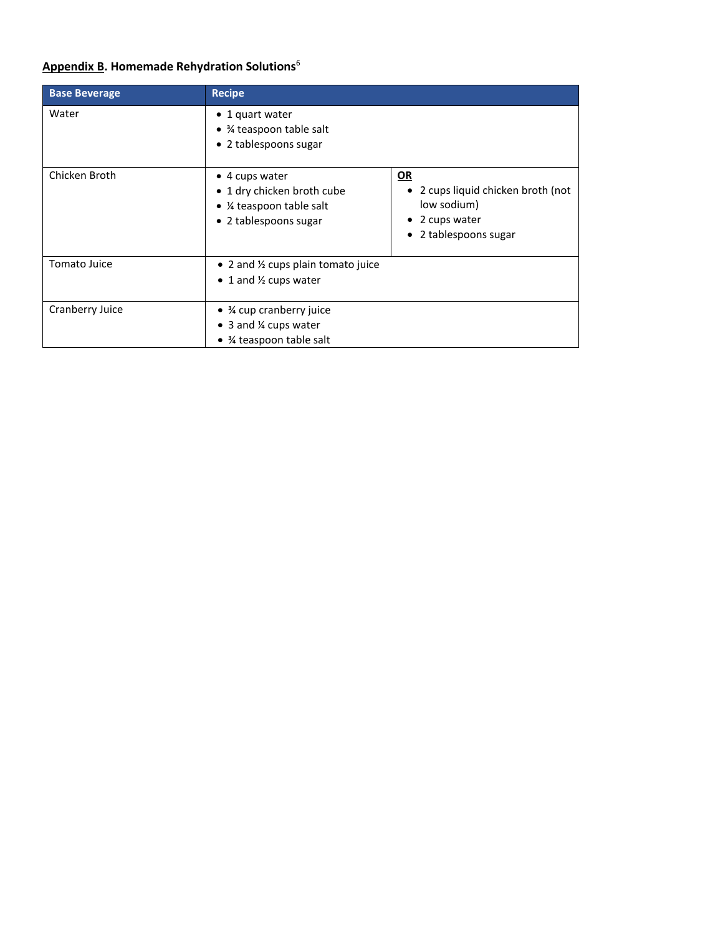## <span id="page-11-0"></span>**Appendix B. Homemade Rehydration Solutions**<sup>6</sup>

| <b>Base Beverage</b> | <b>Recipe</b>                                                                                            |                                                                                                           |
|----------------------|----------------------------------------------------------------------------------------------------------|-----------------------------------------------------------------------------------------------------------|
| Water                | $\bullet$ 1 quart water<br>• % teaspoon table salt<br>• 2 tablespoons sugar                              |                                                                                                           |
| Chicken Broth        | $\bullet$ 4 cups water<br>• 1 dry chicken broth cube<br>• ¼ teaspoon table salt<br>• 2 tablespoons sugar | OR<br>2 cups liquid chicken broth (not<br>low sodium)<br>2 cups water<br>2 tablespoons sugar<br>$\bullet$ |
| Tomato Juice         | • 2 and $\frac{1}{2}$ cups plain tomato juice<br>$\bullet$ 1 and $\frac{1}{2}$ cups water                |                                                                                                           |
| Cranberry Juice      | • $\frac{3}{4}$ cup cranberry juice<br>• 3 and $\frac{1}{4}$ cups water<br>• 34 teaspoon table salt      |                                                                                                           |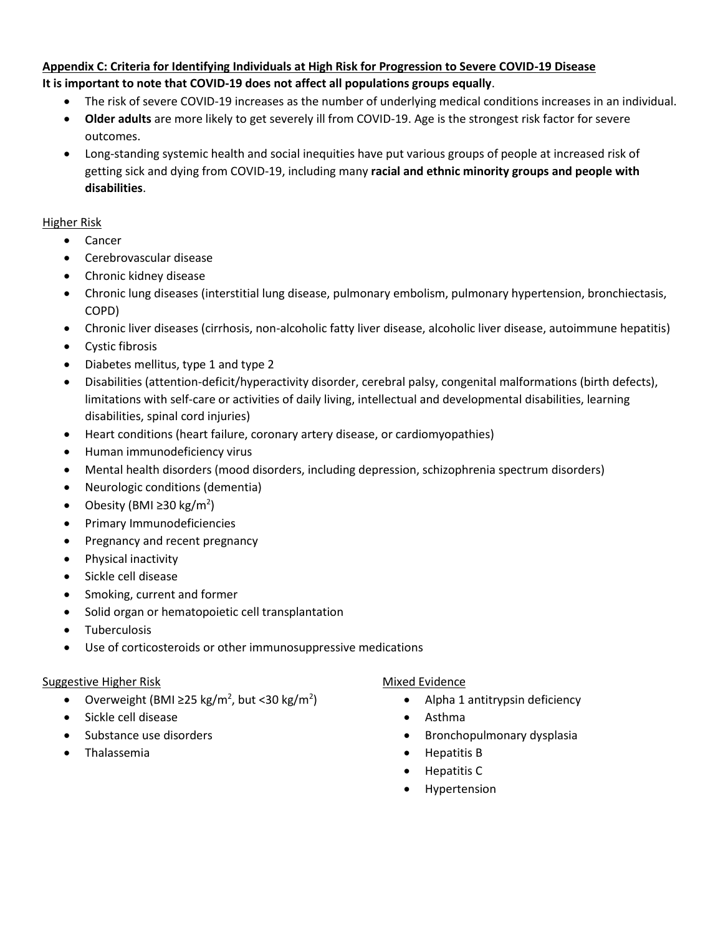### <span id="page-12-0"></span>**Appendix C: Criteria for Identifying Individuals at High Risk for Progression to Severe COVID-19 Disease It is important to note that COVID-19 does not affect all populations groups equally**.

- The risk of severe COVID-19 increases as the number of underlying medical conditions increases in an individual.
- **Older adults** are more likely to get severely ill from COVID-19. Age is the strongest risk factor for severe outcomes.
- Long-standing systemic health and social inequities have put various groups of people at increased risk of getting sick and dying from COVID-19, including many **racial and ethnic minority groups and people with disabilities**.

### Higher Risk

- Cancer
- Cerebrovascular disease
- Chronic kidney disease
- Chronic lung diseases (interstitial lung disease, pulmonary embolism, pulmonary hypertension, bronchiectasis, COPD)
- Chronic liver diseases (cirrhosis, non-alcoholic fatty liver disease, alcoholic liver disease, autoimmune hepatitis)
- Cystic fibrosis
- Diabetes mellitus, type 1 and type 2
- Disabilities (attention-deficit/hyperactivity disorder, cerebral palsy, congenital malformations (birth defects), limitations with self-care or activities of daily living, intellectual and developmental disabilities, learning disabilities, spinal cord injuries)
- Heart conditions (heart failure, coronary artery disease, or cardiomyopathies)
- Human immunodeficiency virus
- Mental health disorders (mood disorders, including depression, schizophrenia spectrum disorders)
- Neurologic conditions (dementia)
- Obesity (BMI ≥30 kg/m<sup>2</sup>)
- Primary Immunodeficiencies
- Pregnancy and recent pregnancy
- Physical inactivity
- Sickle cell disease
- Smoking, current and former
- Solid organ or hematopoietic cell transplantation
- **Tuberculosis**
- Use of corticosteroids or other immunosuppressive medications

### Suggestive Higher Risk

- Overweight (BMI ≥25 kg/m<sup>2</sup>, but <30 kg/m<sup>2</sup>)
- Sickle cell disease
- Substance use disorders
- Thalassemia

### Mixed Evidence

- Alpha 1 antitrypsin deficiency
- Asthma
- Bronchopulmonary dysplasia
- Hepatitis B
- Hepatitis C
- Hypertension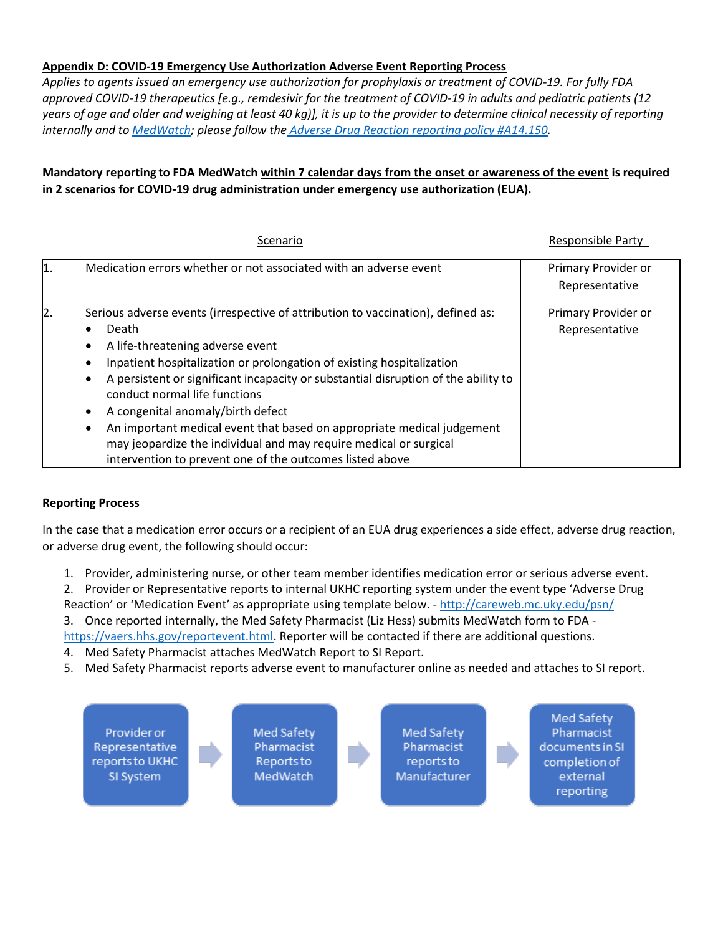### <span id="page-13-0"></span>**Appendix D: COVID-19 Emergency Use Authorization Adverse Event Reporting Process**

*Applies to agents issued an emergency use authorization for prophylaxis or treatment of COVID-19. For fully FDA approved COVID-19 therapeutics [e.g., remdesivir for the treatment of COVID-19 in adults and pediatric patients (12 years of age and older and weighing at least 40 kg)], it is up to the provider to determine clinical necessity of reporting internally and to [MedWatch;](https://www.fda.gov/safety/medwatch-fda-safety-information-and-adverse-event-reporting-program) please follow the [Adverse Drug Reaction reporting policy #A14.150.](https://ukhealthcare.mc.uky.edu/policies/enterprise/_layouts/15/WopiFrame.aspx?sourcedoc=/policies/enterprise/Enterprise/A14-150%20Adverse%20Drug%20Reporting.docx&action=default)*

### **Mandatory reporting to FDA MedWatch within 7 calendar days from the onset or awareness of the event is required in 2 scenarios for COVID-19 drug administration under emergency use authorization (EUA).**

|            | Scenario                                                                                                                                                                                                                                                                                                                                                                                                                                                                                                                                                                                                                          | Responsible Party                     |
|------------|-----------------------------------------------------------------------------------------------------------------------------------------------------------------------------------------------------------------------------------------------------------------------------------------------------------------------------------------------------------------------------------------------------------------------------------------------------------------------------------------------------------------------------------------------------------------------------------------------------------------------------------|---------------------------------------|
| $\vert$ 1. | Medication errors whether or not associated with an adverse event                                                                                                                                                                                                                                                                                                                                                                                                                                                                                                                                                                 | Primary Provider or<br>Representative |
| 2.         | Serious adverse events (irrespective of attribution to vaccination), defined as:<br>Death<br>A life-threatening adverse event<br>$\bullet$<br>Inpatient hospitalization or prolongation of existing hospitalization<br>A persistent or significant incapacity or substantial disruption of the ability to<br>$\bullet$<br>conduct normal life functions<br>A congenital anomaly/birth defect<br>$\bullet$<br>An important medical event that based on appropriate medical judgement<br>$\bullet$<br>may jeopardize the individual and may require medical or surgical<br>intervention to prevent one of the outcomes listed above | Primary Provider or<br>Representative |

### **Reporting Process**

In the case that a medication error occurs or a recipient of an EUA drug experiences a side effect, adverse drug reaction, or adverse drug event, the following should occur:

- 1. Provider, administering nurse, or other team member identifies medication error or serious adverse event.
- 2. Provider or Representative reports to internal UKHC reporting system under the event type 'Adverse Drug

Reaction' or 'Medication Event' as appropriate using template below. - <http://careweb.mc.uky.edu/psn/> 3. Once reported internally, the Med Safety Pharmacist (Liz Hess) submits MedWatch form to FDA [https://vaers.hhs.gov/reportevent.html.](https://vaers.hhs.gov/reportevent.html) Reporter will be contacted if there are additional questions.

- 4. Med Safety Pharmacist attaches MedWatch Report to SI Report.
- 5. Med Safety Pharmacist reports adverse event to manufacturer online as needed and attaches to SI report.

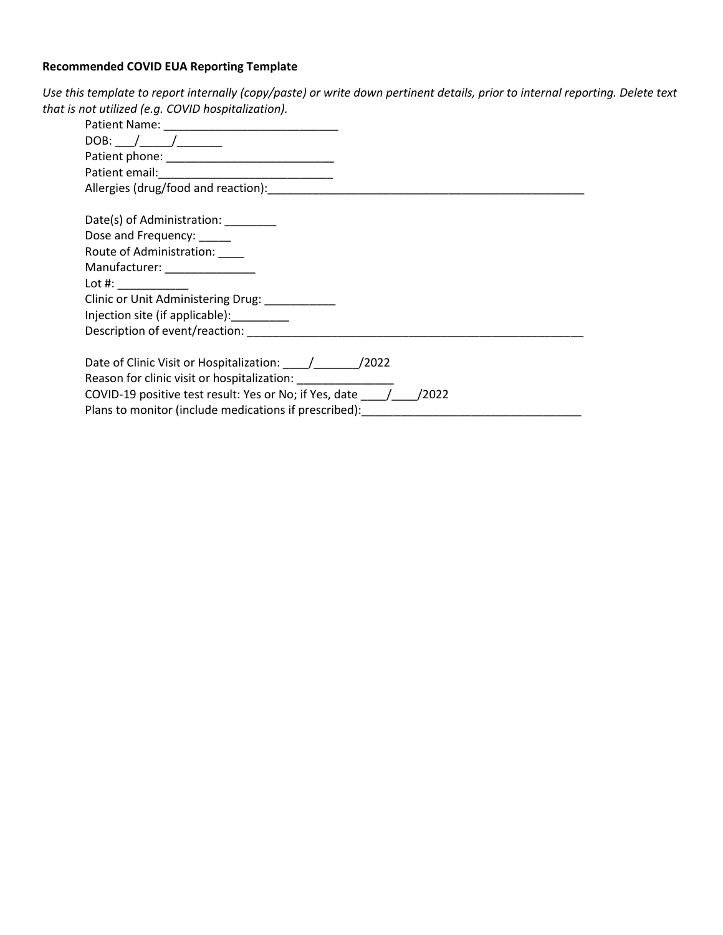### **Recommended COVID EUA Reporting Template**

*Use this template to report internally (copy/paste) or write down pertinent details, prior to internal reporting. Delete text that is not utilized (e.g. COVID hospitalization).*

| DOB: $\frac{1}{\sqrt{2}}$                                                                                                                                                                                                     |
|-------------------------------------------------------------------------------------------------------------------------------------------------------------------------------------------------------------------------------|
|                                                                                                                                                                                                                               |
|                                                                                                                                                                                                                               |
|                                                                                                                                                                                                                               |
|                                                                                                                                                                                                                               |
| Date(s) of Administration: ________                                                                                                                                                                                           |
| Dose and Frequency: ______                                                                                                                                                                                                    |
| Route of Administration:                                                                                                                                                                                                      |
| Manufacturer: _______________                                                                                                                                                                                                 |
| Lot #: $\sqrt{2\pi}$                                                                                                                                                                                                          |
| Clinic or Unit Administering Drug: __________                                                                                                                                                                                 |
| Injection site (if applicable): _________                                                                                                                                                                                     |
|                                                                                                                                                                                                                               |
|                                                                                                                                                                                                                               |
| Date of Clinic Visit or Hospitalization: ///////////2022                                                                                                                                                                      |
|                                                                                                                                                                                                                               |
| COVID-19 positive test result: Yes or No; if Yes, date _________________________<br>/2022                                                                                                                                     |
| Plans to monitor (include medications if prescribed): The manufacture of the manufacture of the property of the manufacture of the manufacture of the manufacture of the manufacture of the manufacture of the manufacture of |